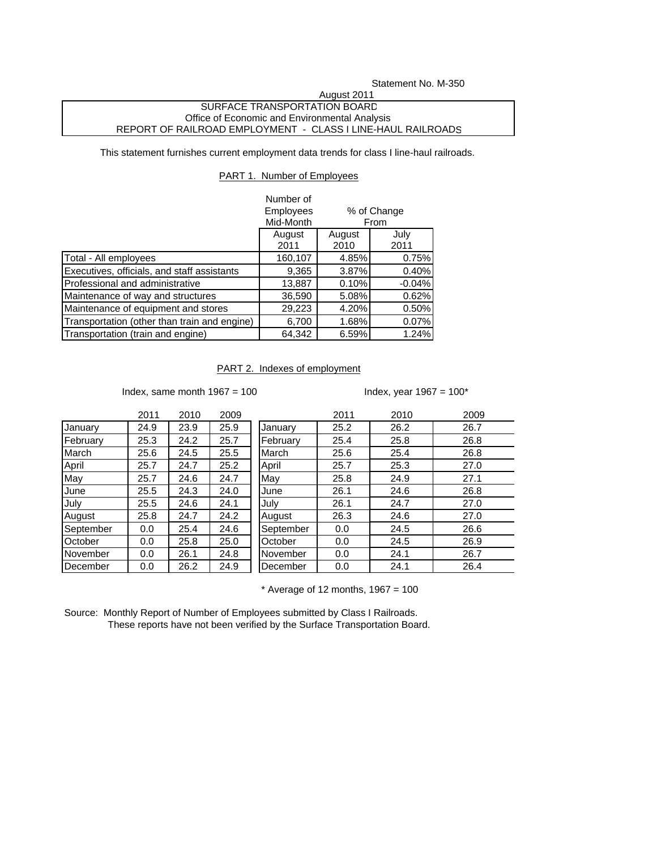Statement No. M-350

## SURFACE TRANSPORTATION BOARD Office of Economic and Environmental Analysis REPORT OF RAILROAD EMPLOYMENT - CLASS I LINE-HAUL RAILROADS August 2011

This statement furnishes current employment data trends for class I line-haul railroads.

## PART 1. Number of Employees

|                                              | Number of        |        |             |
|----------------------------------------------|------------------|--------|-------------|
|                                              | <b>Employees</b> |        | % of Change |
|                                              | Mid-Month        | From   |             |
|                                              | August           | August | July        |
|                                              | 2011             | 2010   | 2011        |
| Total - All employees                        | 160,107          | 4.85%  | 0.75%       |
| Executives, officials, and staff assistants  | 9,365            | 3.87%  | 0.40%       |
| Professional and administrative              | 13,887           | 0.10%  | $-0.04%$    |
| Maintenance of way and structures            | 36,590           | 5.08%  | 0.62%       |
| Maintenance of equipment and stores          | 29,223           | 4.20%  | 0.50%       |
| Transportation (other than train and engine) | 6,700            | 1.68%  | 0.07%       |
| Transportation (train and engine)            | 64,342           | 6.59%  | 1.24%       |

## PART 2. Indexes of employment

Index, same month  $1967 = 100$  Index, year  $1967 = 100^*$ 

|             | 2011 | 2010 | 2009 |           | 2011 | 2010 | 2009 |
|-------------|------|------|------|-----------|------|------|------|
| January     | 24.9 | 23.9 | 25.9 | January   | 25.2 | 26.2 | 26.7 |
| February    | 25.3 | 24.2 | 25.7 | February  | 25.4 | 25.8 | 26.8 |
| March       | 25.6 | 24.5 | 25.5 | March     | 25.6 | 25.4 | 26.8 |
| April       | 25.7 | 24.7 | 25.2 | April     | 25.7 | 25.3 | 27.0 |
| May         | 25.7 | 24.6 | 24.7 | May       | 25.8 | 24.9 | 27.1 |
| <b>June</b> | 25.5 | 24.3 | 24.0 | June      | 26.1 | 24.6 | 26.8 |
| July        | 25.5 | 24.6 | 24.1 | July      | 26.1 | 24.7 | 27.0 |
| August      | 25.8 | 24.7 | 24.2 | August    | 26.3 | 24.6 | 27.0 |
| September   | 0.0  | 25.4 | 24.6 | September | 0.0  | 24.5 | 26.6 |
| October     | 0.0  | 25.8 | 25.0 | October   | 0.0  | 24.5 | 26.9 |
| November    | 0.0  | 26.1 | 24.8 | November  | 0.0  | 24.1 | 26.7 |
| December    | 0.0  | 26.2 | 24.9 | December  | 0.0  | 24.1 | 26.4 |

 $*$  Average of 12 months, 1967 = 100

Source: Monthly Report of Number of Employees submitted by Class I Railroads. These reports have not been verified by the Surface Transportation Board.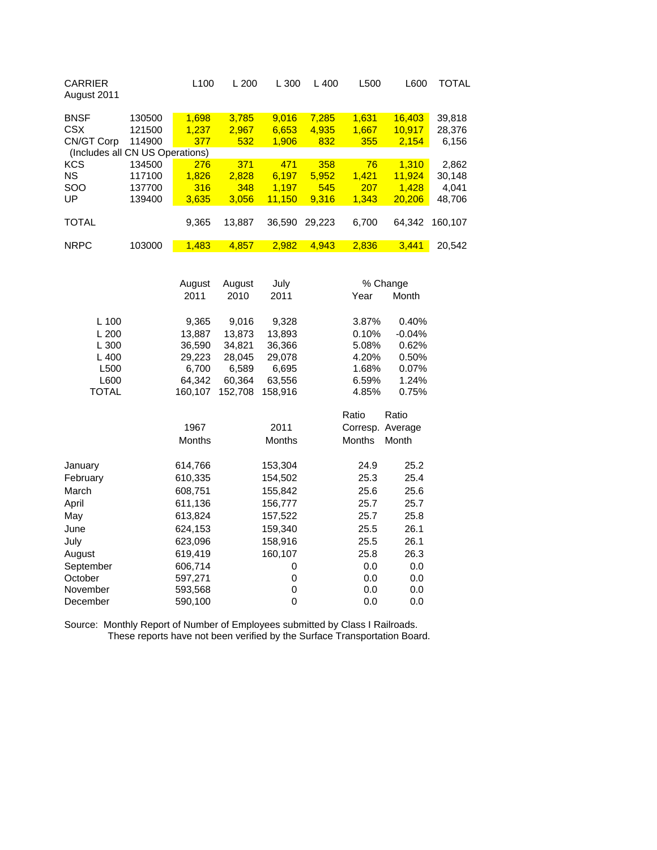| <b>CARRIER</b><br>August 2011   |        | L <sub>100</sub> | L200   | L300   | $L$ 400 | L <sub>500</sub> | L600   | TOTAL   |
|---------------------------------|--------|------------------|--------|--------|---------|------------------|--------|---------|
| <b>BNSF</b>                     | 130500 | 1,698            | 3,785  | 9,016  | 7,285   | 1,631            | 16,403 | 39,818  |
| <b>CSX</b>                      | 121500 | 1,237            | 2,967  | 6,653  | 4,935   | 1,667            | 10,917 | 28,376  |
| CN/GT Corp                      | 114900 | 377              | 532    | 1,906  | 832     | 355              | 2,154  | 6,156   |
| (Includes all CN US Operations) |        |                  |        |        |         |                  |        |         |
| <b>KCS</b>                      | 134500 | 276              | 371    | 471    | 358     | 76               | 1.310  | 2,862   |
| <b>NS</b>                       | 117100 | 1.826            | 2.828  | 6.197  | 5,952   | 1.421            | 11.924 | 30,148  |
| <b>SOO</b>                      | 137700 | 316              | 348    | 1.197  | 545     | 207              | 1.428  | 4,041   |
| UP                              | 139400 | 3,635            | 3.056  | 11,150 | 9.316   | 1.343            | 20,206 | 48,706  |
|                                 |        |                  |        |        |         |                  |        |         |
| <b>TOTAL</b>                    |        | 9.365            | 13.887 | 36,590 | 29.223  | 6,700            | 64.342 | 160.107 |
|                                 |        |                  |        |        |         |                  |        |         |
| <b>NRPC</b>                     | 103000 | 1,483            | 4.857  | 2.982  | 4.943   | 2.836            | 3.441  | 20.542  |

|                      | August             | July<br>August |               |            | % Change         |  |  |
|----------------------|--------------------|----------------|---------------|------------|------------------|--|--|
|                      | 2011               | 2010           | 2011          | Year       | Month            |  |  |
| $L$ 100              | 9,365              | 9,016          | 9,328         | 3.87%      | 0.40%            |  |  |
| L200                 | 13,887             | 13,873         | 13,893        | 0.10%      | $-0.04%$         |  |  |
| L 300                | 36,590             | 34,821         | 36,366        | 5.08%      | 0.62%            |  |  |
| L 400                | 29,223             | 28,045         | 29,078        | 4.20%      | 0.50%            |  |  |
| L <sub>500</sub>     | 6.700              | 6,589          | 6,695         | 1.68%      | 0.07%            |  |  |
| L600                 | 64,342             | 60,364         | 63,556        | 6.59%      | 1.24%            |  |  |
| <b>TOTAL</b>         | 160,107            | 152,708        | 158,916       | 4.85%      | 0.75%            |  |  |
|                      |                    |                |               | Ratio      | Ratio            |  |  |
|                      | 1967               |                | 2011          |            | Corresp. Average |  |  |
|                      | <b>Months</b>      |                | <b>Months</b> | Months     | Month            |  |  |
| January              | 614,766            |                | 153,304       | 24.9       | 25.2             |  |  |
| February             | 610,335            |                | 154,502       | 25.3       | 25.4             |  |  |
| March                | 608,751            |                | 155,842       | 25.6       | 25.6             |  |  |
| April                | 611,136            |                | 156,777       | 25.7       | 25.7             |  |  |
| May                  | 613,824            |                | 157,522       | 25.7       | 25.8             |  |  |
| June                 | 624,153            |                | 159,340       | 25.5       | 26.1             |  |  |
| July                 | 623,096            |                | 158,916       | 25.5       | 26.1             |  |  |
|                      |                    |                |               | 25.8       | 26.3             |  |  |
| August               | 619,419            |                | 160,107       |            |                  |  |  |
| September<br>October | 606,714            |                | 0             | 0.0<br>0.0 | 0.0<br>0.0       |  |  |
| November             | 597,271            |                | 0<br>0        | 0.0        | 0.0              |  |  |
| December             | 593,568<br>590,100 |                | $\mathbf 0$   | 0.0        | 0.0              |  |  |
|                      |                    |                |               |            |                  |  |  |

Source: Monthly Report of Number of Employees submitted by Class I Railroads. These reports have not been verified by the Surface Transportation Board.